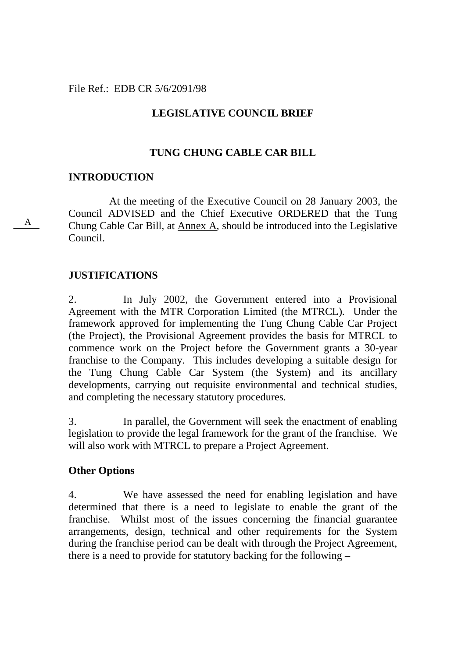### File Ref.: EDB CR 5/6/2091/98

# **LEGISLATIVE COUNCIL BRIEF**

# **TUNG CHUNG CABLE CAR BILL**

### **INTRODUCTION**

 At the meeting of the Executive Council on 28 January 2003, the Council ADVISED and the Chief Executive ORDERED that the Tung Chung Cable Car Bill, at Annex A, should be introduced into the Legislative Council.

# **JUSTIFICATIONS**

2. In July 2002, the Government entered into a Provisional Agreement with the MTR Corporation Limited (the MTRCL). Under the framework approved for implementing the Tung Chung Cable Car Project (the Project), the Provisional Agreement provides the basis for MTRCL to commence work on the Project before the Government grants a 30-year franchise to the Company. This includes developing a suitable design for the Tung Chung Cable Car System (the System) and its ancillary developments, carrying out requisite environmental and technical studies, and completing the necessary statutory procedures.

3. In parallel, the Government will seek the enactment of enabling legislation to provide the legal framework for the grant of the franchise. We will also work with MTRCL to prepare a Project Agreement.

# **Other Options**

4. We have assessed the need for enabling legislation and have determined that there is a need to legislate to enable the grant of the franchise. Whilst most of the issues concerning the financial guarantee arrangements, design, technical and other requirements for the System during the franchise period can be dealt with through the Project Agreement, there is a need to provide for statutory backing for the following –

A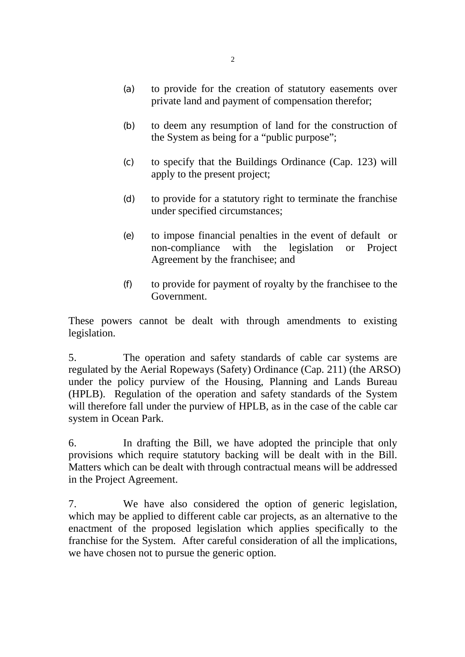- (a) to provide for the creation of statutory easements over private land and payment of compensation therefor;
- (b) to deem any resumption of land for the construction of the System as being for a "public purpose";
- (c) to specify that the Buildings Ordinance (Cap. 123) will apply to the present project;
- (d) to provide for a statutory right to terminate the franchise under specified circumstances;
- (e) to impose financial penalties in the event of default or non-compliance with the legislation or Project Agreement by the franchisee; and
- (f) to provide for payment of royalty by the franchisee to the Government.

These powers cannot be dealt with through amendments to existing legislation.

5. The operation and safety standards of cable car systems are regulated by the Aerial Ropeways (Safety) Ordinance (Cap. 211) (the ARSO) under the policy purview of the Housing, Planning and Lands Bureau (HPLB). Regulation of the operation and safety standards of the System will therefore fall under the purview of HPLB, as in the case of the cable car system in Ocean Park.

6. In drafting the Bill, we have adopted the principle that only provisions which require statutory backing will be dealt with in the Bill. Matters which can be dealt with through contractual means will be addressed in the Project Agreement.

7. We have also considered the option of generic legislation, which may be applied to different cable car projects, as an alternative to the enactment of the proposed legislation which applies specifically to the franchise for the System. After careful consideration of all the implications, we have chosen not to pursue the generic option.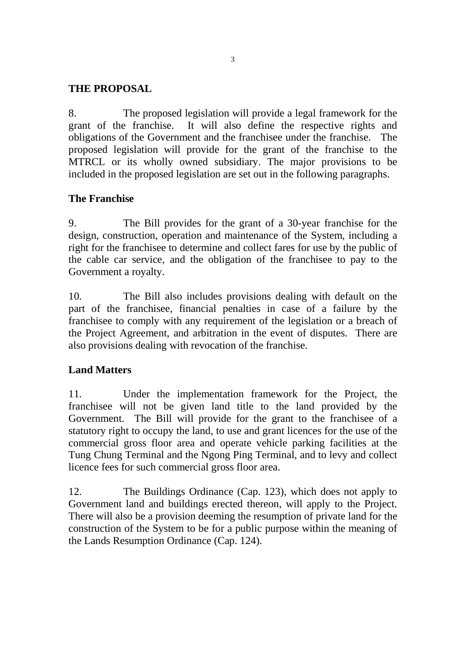# **THE PROPOSAL**

8. The proposed legislation will provide a legal framework for the grant of the franchise. It will also define the respective rights and obligations of the Government and the franchisee under the franchise. The proposed legislation will provide for the grant of the franchise to the MTRCL or its wholly owned subsidiary. The major provisions to be included in the proposed legislation are set out in the following paragraphs.

# **The Franchise**

9. The Bill provides for the grant of a 30-year franchise for the design, construction, operation and maintenance of the System, including a right for the franchisee to determine and collect fares for use by the public of the cable car service, and the obligation of the franchisee to pay to the Government a royalty.

10. The Bill also includes provisions dealing with default on the part of the franchisee, financial penalties in case of a failure by the franchisee to comply with any requirement of the legislation or a breach of the Project Agreement, and arbitration in the event of disputes. There are also provisions dealing with revocation of the franchise.

# **Land Matters**

11. Under the implementation framework for the Project, the franchisee will not be given land title to the land provided by the Government. The Bill will provide for the grant to the franchisee of a statutory right to occupy the land, to use and grant licences for the use of the commercial gross floor area and operate vehicle parking facilities at the Tung Chung Terminal and the Ngong Ping Terminal, and to levy and collect licence fees for such commercial gross floor area.

12. The Buildings Ordinance (Cap. 123), which does not apply to Government land and buildings erected thereon, will apply to the Project. There will also be a provision deeming the resumption of private land for the construction of the System to be for a public purpose within the meaning of the Lands Resumption Ordinance (Cap. 124).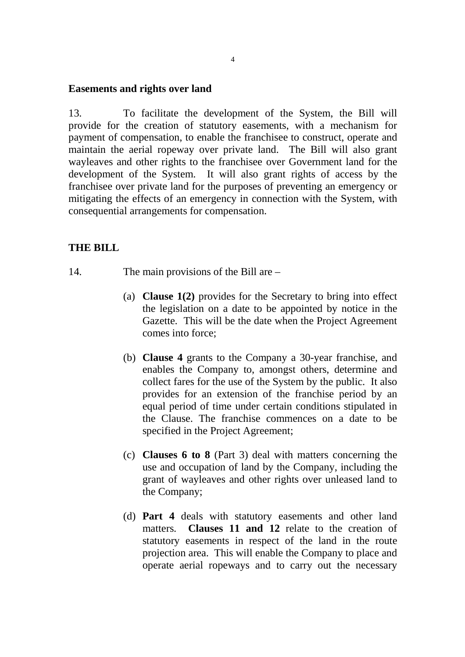#### **Easements and rights over land**

13. To facilitate the development of the System, the Bill will provide for the creation of statutory easements, with a mechanism for payment of compensation, to enable the franchisee to construct, operate and maintain the aerial ropeway over private land. The Bill will also grant wayleaves and other rights to the franchisee over Government land for the development of the System. It will also grant rights of access by the franchisee over private land for the purposes of preventing an emergency or mitigating the effects of an emergency in connection with the System, with consequential arrangements for compensation.

### **THE BILL**

- 14. The main provisions of the Bill are
	- (a) **Clause 1(2)** provides for the Secretary to bring into effect the legislation on a date to be appointed by notice in the Gazette. This will be the date when the Project Agreement comes into force;
	- (b) **Clause 4** grants to the Company a 30-year franchise, and enables the Company to, amongst others, determine and collect fares for the use of the System by the public. It also provides for an extension of the franchise period by an equal period of time under certain conditions stipulated in the Clause. The franchise commences on a date to be specified in the Project Agreement;
	- (c) **Clauses 6 to 8** (Part 3) deal with matters concerning the use and occupation of land by the Company, including the grant of wayleaves and other rights over unleased land to the Company;
	- (d) **Part 4** deals with statutory easements and other land matters. **Clauses 11 and 12** relate to the creation of statutory easements in respect of the land in the route projection area. This will enable the Company to place and operate aerial ropeways and to carry out the necessary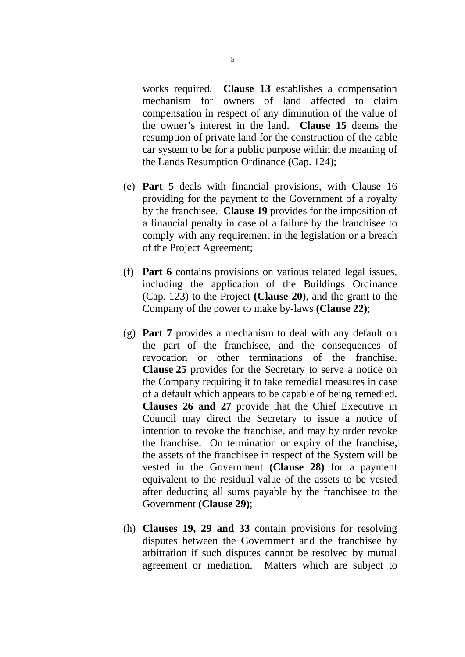works required. **Clause 13** establishes a compensation mechanism for owners of land affected to claim compensation in respect of any diminution of the value of the owner's interest in the land. **Clause 15** deems the resumption of private land for the construction of the cable car system to be for a public purpose within the meaning of the Lands Resumption Ordinance (Cap. 124);

- (e) **Part 5** deals with financial provisions, with Clause 16 providing for the payment to the Government of a royalty by the franchisee. **Clause 19** provides for the imposition of a financial penalty in case of a failure by the franchisee to comply with any requirement in the legislation or a breach of the Project Agreement;
- (f) **Part 6** contains provisions on various related legal issues, including the application of the Buildings Ordinance (Cap. 123) to the Project **(Clause 20)**, and the grant to the Company of the power to make by-laws **(Clause 22)**;
- (g) **Part 7** provides a mechanism to deal with any default on the part of the franchisee, and the consequences of revocation or other terminations of the franchise. **Clause 25** provides for the Secretary to serve a notice on the Company requiring it to take remedial measures in case of a default which appears to be capable of being remedied. **Clauses 26 and 27** provide that the Chief Executive in Council may direct the Secretary to issue a notice of intention to revoke the franchise, and may by order revoke the franchise. On termination or expiry of the franchise, the assets of the franchisee in respect of the System will be vested in the Government **(Clause 28)** for a payment equivalent to the residual value of the assets to be vested after deducting all sums payable by the franchisee to the Government **(Clause 29)**;
- (h) **Clauses 19, 29 and 33** contain provisions for resolving disputes between the Government and the franchisee by arbitration if such disputes cannot be resolved by mutual agreement or mediation. Matters which are subject to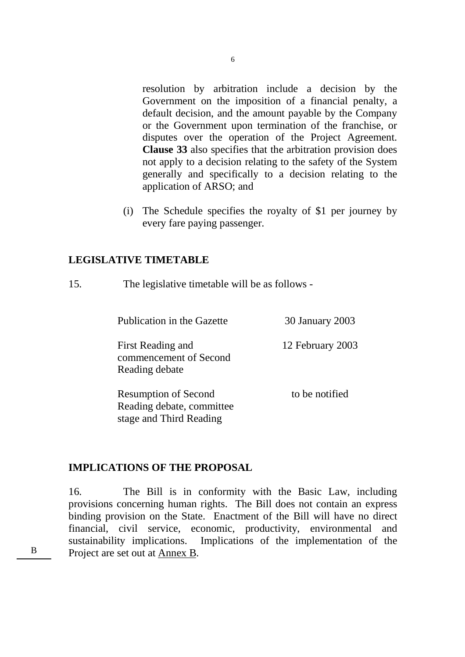resolution by arbitration include a decision by the Government on the imposition of a financial penalty, a default decision, and the amount payable by the Company or the Government upon termination of the franchise, or disputes over the operation of the Project Agreement. **Clause 33** also specifies that the arbitration provision does not apply to a decision relating to the safety of the System generally and specifically to a decision relating to the application of ARSO; and

(i) The Schedule specifies the royalty of \$1 per journey by every fare paying passenger.

### **LEGISLATIVE TIMETABLE**

15. The legislative timetable will be as follows -

Publication in the Gazette 30 January 2003

First Reading and commencement of Second Reading debate

to be notified

12 February 2003

Resumption of Second Reading debate, committee stage and Third Reading

# **IMPLICATIONS OF THE PROPOSAL**

16. The Bill is in conformity with the Basic Law, including provisions concerning human rights. The Bill does not contain an express binding provision on the State. Enactment of the Bill will have no direct financial, civil service, economic, productivity, environmental and sustainability implications. Implications of the implementation of the B Project are set out at Annex B.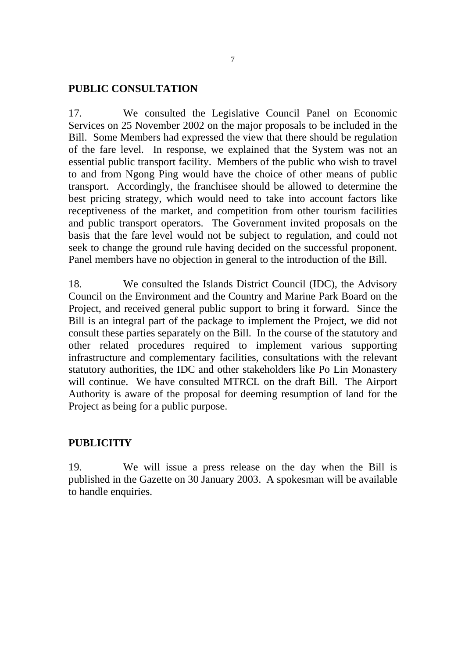### **PUBLIC CONSULTATION**

17. We consulted the Legislative Council Panel on Economic Services on 25 November 2002 on the major proposals to be included in the Bill. Some Members had expressed the view that there should be regulation of the fare level. In response, we explained that the System was not an essential public transport facility. Members of the public who wish to travel to and from Ngong Ping would have the choice of other means of public transport. Accordingly, the franchisee should be allowed to determine the best pricing strategy, which would need to take into account factors like receptiveness of the market, and competition from other tourism facilities and public transport operators. The Government invited proposals on the basis that the fare level would not be subject to regulation, and could not seek to change the ground rule having decided on the successful proponent. Panel members have no objection in general to the introduction of the Bill.

18. We consulted the Islands District Council (IDC), the Advisory Council on the Environment and the Country and Marine Park Board on the Project, and received general public support to bring it forward. Since the Bill is an integral part of the package to implement the Project, we did not consult these parties separately on the Bill. In the course of the statutory and other related procedures required to implement various supporting infrastructure and complementary facilities, consultations with the relevant statutory authorities, the IDC and other stakeholders like Po Lin Monastery will continue. We have consulted MTRCL on the draft Bill. The Airport Authority is aware of the proposal for deeming resumption of land for the Project as being for a public purpose.

# **PUBLICITIY**

19. We will issue a press release on the day when the Bill is published in the Gazette on 30 January 2003. A spokesman will be available to handle enquiries.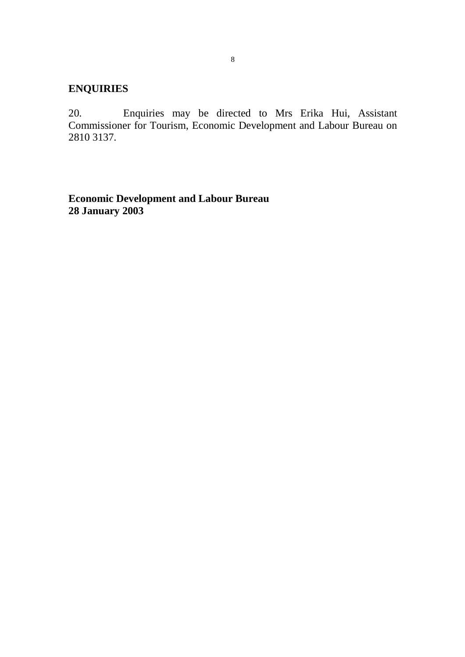# **ENQUIRIES**

20. Enquiries may be directed to Mrs Erika Hui, Assistant Commissioner for Tourism, Economic Development and Labour Bureau on 2810 3137.

**Economic Development and Labour Bureau 28 January 2003**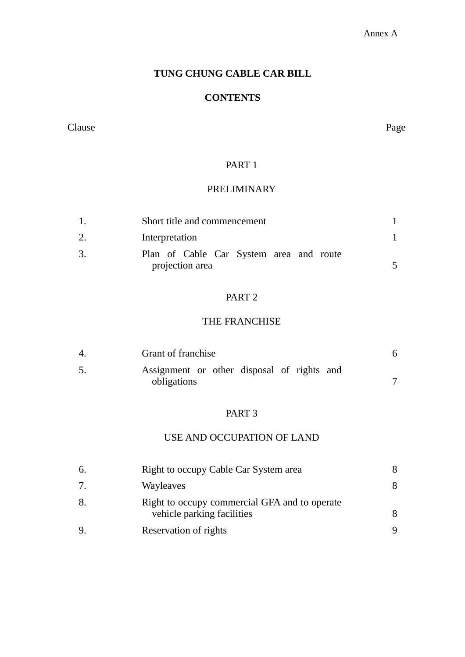#### Annex A

# **TUNG CHUNG CABLE CAR BILL**

### **CONTENTS**

#### Clause Page

### PART 1

# PRELIMINARY

|    | Short title and commencement                               |  |
|----|------------------------------------------------------------|--|
|    | Interpretation                                             |  |
| 3. | Plan of Cable Car System area and route<br>projection area |  |
|    |                                                            |  |

# PART 2

# THE FRANCHISE

| Grant of franchise                                        |  |
|-----------------------------------------------------------|--|
| Assignment or other disposal of rights and<br>obligations |  |

### PART 3

# USE AND OCCUPATION OF LAND

| 6. | Right to occupy Cable Car System area                                       |  |
|----|-----------------------------------------------------------------------------|--|
| 7. | Wayleaves                                                                   |  |
| 8. | Right to occupy commercial GFA and to operate<br>vehicle parking facilities |  |
| 9. | Reservation of rights                                                       |  |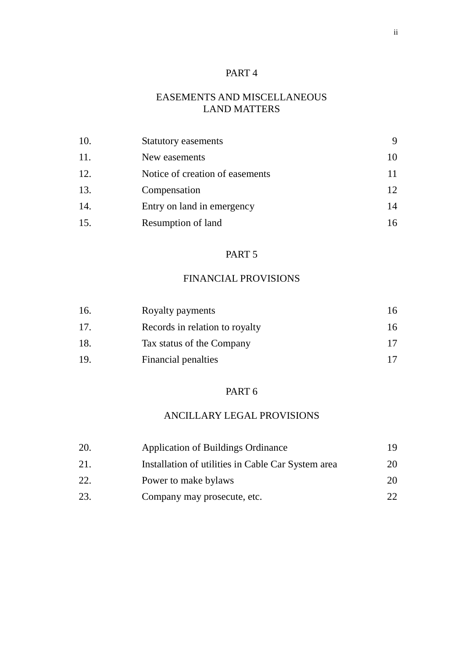# PART 4

# EASEMENTS AND MISCELLANEOUS LAND MATTERS

| 10. | <b>Statutory easements</b>      |    |
|-----|---------------------------------|----|
| 11. | New easements                   | 10 |
| 12. | Notice of creation of easements |    |
| 13. | Compensation                    | 12 |
| 14. | Entry on land in emergency      | 14 |
| 15. | Resumption of land              | 16 |

### PART 5

# FINANCIAL PROVISIONS

| 16. | Royalty payments               | 16. |
|-----|--------------------------------|-----|
| 17. | Records in relation to royalty | 16  |
| 18. | Tax status of the Company      |     |
| 19  | Financial penalties            |     |

### PART 6

# ANCILLARY LEGAL PROVISIONS

| 20. | <b>Application of Buildings Ordinance</b>          |    |
|-----|----------------------------------------------------|----|
| 21. | Installation of utilities in Cable Car System area | 20 |
| 22. | Power to make bylaws                               | 20 |
| 23. | Company may prosecute, etc.                        |    |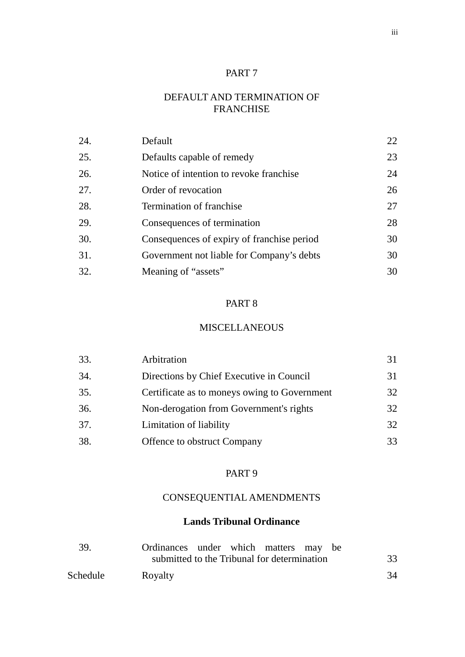### PART 7

# DEFAULT AND TERMINATION OF FRANCHISE

| 24. | Default                                    | 22 |
|-----|--------------------------------------------|----|
| 25. | Defaults capable of remedy                 | 23 |
| 26. | Notice of intention to revoke franchise    | 24 |
| 27. | Order of revocation                        | 26 |
| 28. | Termination of franchise                   | 27 |
| 29. | Consequences of termination                | 28 |
| 30. | Consequences of expiry of franchise period | 30 |
| 31. | Government not liable for Company's debts  | 30 |
| 32. | Meaning of "assets"                        | 30 |

# PART 8

### MISCELLANEOUS

| 33. | Arbitration                                  |    |
|-----|----------------------------------------------|----|
| 34. | Directions by Chief Executive in Council     | 31 |
| 35. | Certificate as to moneys owing to Government | 32 |
| 36. | Non-derogation from Government's rights      | 32 |
| 37. | Limitation of liability                      | 32 |
| 38. | <b>Offence to obstruct Company</b>           | 33 |

# PART 9

# CONSEQUENTIAL AMENDMENTS

# **Lands Tribunal Ordinance**

| - 39.    | Ordinances under which matters may be       |    |
|----------|---------------------------------------------|----|
|          | submitted to the Tribunal for determination | 33 |
| Schedule | Royalty                                     | 34 |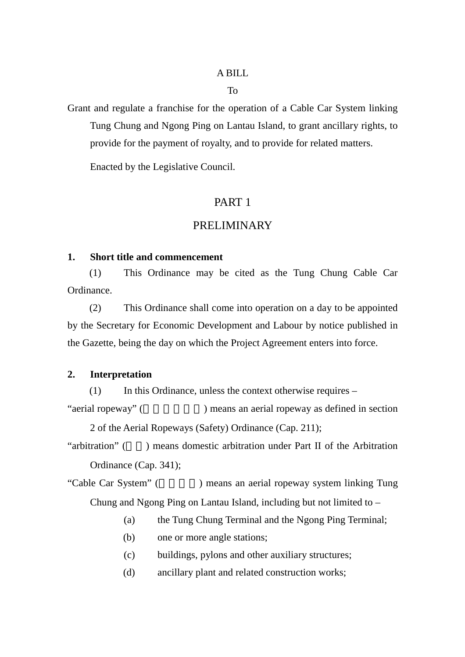### A BILL

#### To

Grant and regulate a franchise for the operation of a Cable Car System linking Tung Chung and Ngong Ping on Lantau Island, to grant ancillary rights, to provide for the payment of royalty, and to provide for related matters.

Enacted by the Legislative Council.

# PART 1

#### PRELIMINARY

### **1. Short title and commencement**

(1) This Ordinance may be cited as the Tung Chung Cable Car Ordinance.

(2) This Ordinance shall come into operation on a day to be appointed by the Secretary for Economic Development and Labour by notice published in the Gazette, being the day on which the Project Agreement enters into force.

### **2. Interpretation**

(1) In this Ordinance, unless the context otherwise requires –

"aerial ropeway" (
Figure  $\sum_{n=1}^{\infty}$  ) means an aerial ropeway as defined in section 2 of the Aerial Ropeways (Safety) Ordinance (Cap. 211);

"arbitration" (a) means domestic arbitration under Part II of the Arbitration Ordinance (Cap. 341);

"Cable Car System" ( ) means an aerial ropeway system linking Tung Chung and Ngong Ping on Lantau Island, including but not limited to –

- (a) the Tung Chung Terminal and the Ngong Ping Terminal;
- (b) one or more angle stations;
- (c) buildings, pylons and other auxiliary structures;
- (d) ancillary plant and related construction works;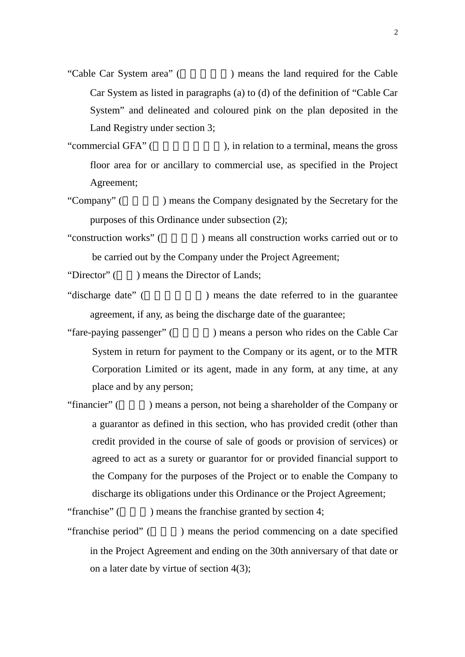"Cable Car System area" (
Fig. 2) means the land required for the Cable Car System as listed in paragraphs (a) to (d) of the definition of "Cable Car System" and delineated and coloured pink on the plan deposited in the Land Registry under section 3;

"commercial GFA" (Separate in the gross), in relation to a terminal, means the gross floor area for or ancillary to commercial use, as specified in the Project Agreement;

"Company" () means the Company designated by the Secretary for the purposes of this Ordinance under subsection (2);

"construction works" (Separate 2) means all construction works carried out or to be carried out by the Company under the Project Agreement;

"Director" () means the Director of Lands;

"discharge date" ( The present to in the guarantee  $\ddot{\theta}$ agreement, if any, as being the discharge date of the guarantee;

- "fare-paying passenger" (networking increases a person who rides on the Cable Car System in return for payment to the Company or its agent, or to the MTR Corporation Limited or its agent, made in any form, at any time, at any place and by any person;
- "financier" () means a person, not being a shareholder of the Company or a guarantor as defined in this section, who has provided credit (other than credit provided in the course of sale of goods or provision of services) or agreed to act as a surety or guarantor for or provided financial support to the Company for the purposes of the Project or to enable the Company to discharge its obligations under this Ordinance or the Project Agreement;

"franchise"  $($   $)$  means the franchise granted by section 4;

"franchise period" () means the period commencing on a date specified in the Project Agreement and ending on the 30th anniversary of that date or on a later date by virtue of section 4(3);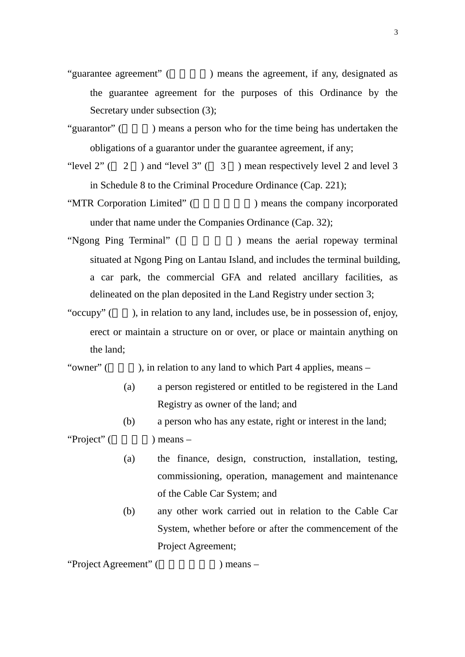- "guarantee agreement" () means the agreement, if any, designated as the guarantee agreement for the purposes of this Ordinance by the Secretary under subsection (3);
- "guarantor" () means a person who for the time being has undertaken the obligations of a guarantor under the guarantee agreement, if any;
- "level  $2$ " ( $2$ ) and "level  $3$ " ( $3$ ) mean respectively level 2 and level 3 in Schedule 8 to the Criminal Procedure Ordinance (Cap. 221);
- "MTR Corporation Limited" (
Here is no means the company incorporated under that name under the Companies Ordinance (Cap. 32);
- "Ngong Ping Terminal" () means the aerial ropeway terminal situated at Ngong Ping on Lantau Island, and includes the terminal building, a car park, the commercial GFA and related ancillary facilities, as delineated on the plan deposited in the Land Registry under section 3;
- "occupy"  $($ , in relation to any land, includes use, be in possession of, enjoy, erect or maintain a structure on or over, or place or maintain anything on the land;

"owner"  $($ , in relation to any land to which Part 4 applies, means –

- (a) a person registered or entitled to be registered in the Land Registry as owner of the land; and
- (b) a person who has any estate, right or interest in the land;

"Project" ( $\blacksquare$ ) means –

- (a) the finance, design, construction, installation, testing, commissioning, operation, management and maintenance of the Cable Car System; and
- (b) any other work carried out in relation to the Cable Car System, whether before or after the commencement of the Project Agreement;

"Project Agreement" (
let  $\blacksquare$ ) means –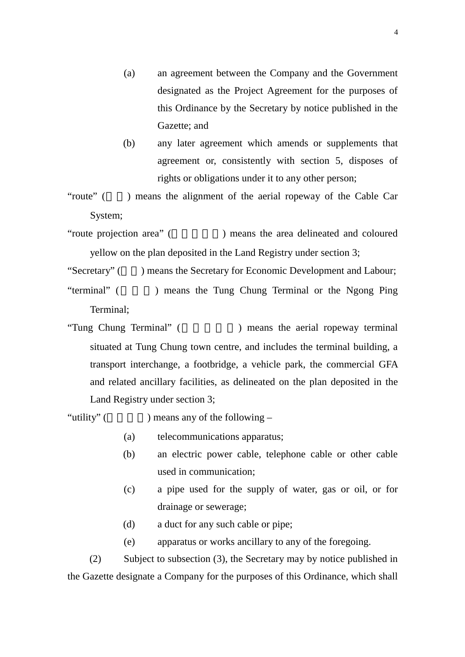- (a) an agreement between the Company and the Government designated as the Project Agreement for the purposes of this Ordinance by the Secretary by notice published in the Gazette; and
- (b) any later agreement which amends or supplements that agreement or, consistently with section 5, disposes of rights or obligations under it to any other person;
- "route" () means the alignment of the aerial ropeway of the Cable Car System;
- "route projection area" (The state of projection area" (The state area delineated and coloured yellow on the plan deposited in the Land Registry under section 3;
- "Secretary" () means the Secretary for Economic Development and Labour;
- "terminal" (  $\blacksquare$  ) means the Tung Chung Terminal or the Ngong Ping Terminal;
- "Tung Chung Terminal" (
Here is no means the aerial ropeway terminal situated at Tung Chung town centre, and includes the terminal building, a transport interchange, a footbridge, a vehicle park, the commercial GFA and related ancillary facilities, as delineated on the plan deposited in the Land Registry under section 3;

"utility" ( $\qquad$ ) means any of the following –

- (a) telecommunications apparatus;
- (b) an electric power cable, telephone cable or other cable used in communication;
- (c) a pipe used for the supply of water, gas or oil, or for drainage or sewerage;
- (d) a duct for any such cable or pipe;
- (e) apparatus or works ancillary to any of the foregoing.

(2) Subject to subsection (3), the Secretary may by notice published in the Gazette designate a Company for the purposes of this Ordinance, which shall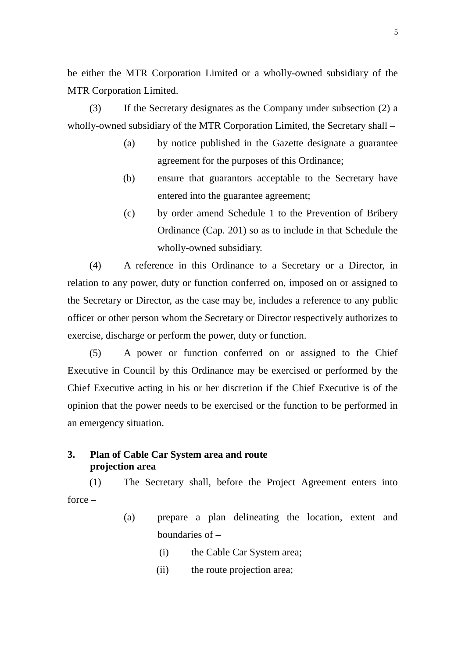be either the MTR Corporation Limited or a wholly-owned subsidiary of the MTR Corporation Limited.

(3) If the Secretary designates as the Company under subsection (2) a wholly-owned subsidiary of the MTR Corporation Limited, the Secretary shall –

- (a) by notice published in the Gazette designate a guarantee agreement for the purposes of this Ordinance;
- (b) ensure that guarantors acceptable to the Secretary have entered into the guarantee agreement;
- (c) by order amend Schedule 1 to the Prevention of Bribery Ordinance (Cap. 201) so as to include in that Schedule the wholly-owned subsidiary.

(4) A reference in this Ordinance to a Secretary or a Director, in relation to any power, duty or function conferred on, imposed on or assigned to the Secretary or Director, as the case may be, includes a reference to any public officer or other person whom the Secretary or Director respectively authorizes to exercise, discharge or perform the power, duty or function.

(5) A power or function conferred on or assigned to the Chief Executive in Council by this Ordinance may be exercised or performed by the Chief Executive acting in his or her discretion if the Chief Executive is of the opinion that the power needs to be exercised or the function to be performed in an emergency situation.

### **3. Plan of Cable Car System area and route projection area**

(1) The Secretary shall, before the Project Agreement enters into force –

- (a) prepare a plan delineating the location, extent and boundaries of –
	- (i) the Cable Car System area;
	- (ii) the route projection area;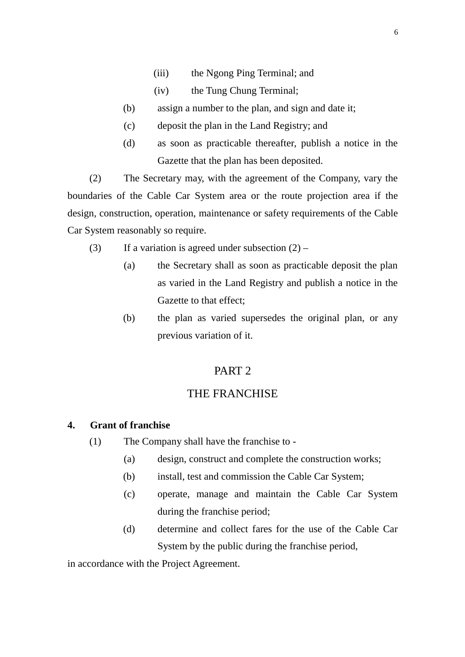- (iii) the Ngong Ping Terminal; and
- (iv) the Tung Chung Terminal;
- (b) assign a number to the plan, and sign and date it;
- (c) deposit the plan in the Land Registry; and
- (d) as soon as practicable thereafter, publish a notice in the Gazette that the plan has been deposited.

(2) The Secretary may, with the agreement of the Company, vary the boundaries of the Cable Car System area or the route projection area if the design, construction, operation, maintenance or safety requirements of the Cable Car System reasonably so require.

- (3) If a variation is agreed under subsection  $(2)$ 
	- (a) the Secretary shall as soon as practicable deposit the plan as varied in the Land Registry and publish a notice in the Gazette to that effect;
	- (b) the plan as varied supersedes the original plan, or any previous variation of it.

# PART 2

# THE FRANCHISE

#### **4. Grant of franchise**

- (1) The Company shall have the franchise to
	- (a) design, construct and complete the construction works;
	- (b) install, test and commission the Cable Car System;
	- (c) operate, manage and maintain the Cable Car System during the franchise period;
	- (d) determine and collect fares for the use of the Cable Car System by the public during the franchise period,

in accordance with the Project Agreement.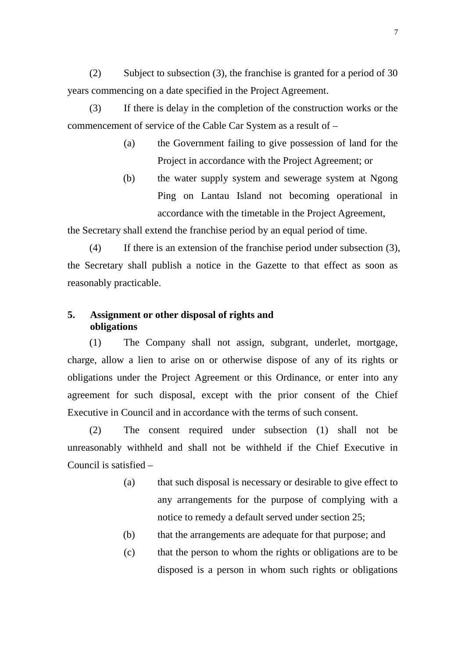(2) Subject to subsection (3), the franchise is granted for a period of 30 years commencing on a date specified in the Project Agreement.

(3) If there is delay in the completion of the construction works or the commencement of service of the Cable Car System as a result of –

- (a) the Government failing to give possession of land for the Project in accordance with the Project Agreement; or
- (b) the water supply system and sewerage system at Ngong Ping on Lantau Island not becoming operational in accordance with the timetable in the Project Agreement,

the Secretary shall extend the franchise period by an equal period of time.

(4) If there is an extension of the franchise period under subsection (3), the Secretary shall publish a notice in the Gazette to that effect as soon as reasonably practicable.

# **5. Assignment or other disposal of rights and obligations**

(1) The Company shall not assign, subgrant, underlet, mortgage, charge, allow a lien to arise on or otherwise dispose of any of its rights or obligations under the Project Agreement or this Ordinance, or enter into any agreement for such disposal, except with the prior consent of the Chief Executive in Council and in accordance with the terms of such consent.

(2) The consent required under subsection (1) shall not be unreasonably withheld and shall not be withheld if the Chief Executive in Council is satisfied –

- (a) that such disposal is necessary or desirable to give effect to any arrangements for the purpose of complying with a notice to remedy a default served under section 25;
- (b) that the arrangements are adequate for that purpose; and
- (c) that the person to whom the rights or obligations are to be disposed is a person in whom such rights or obligations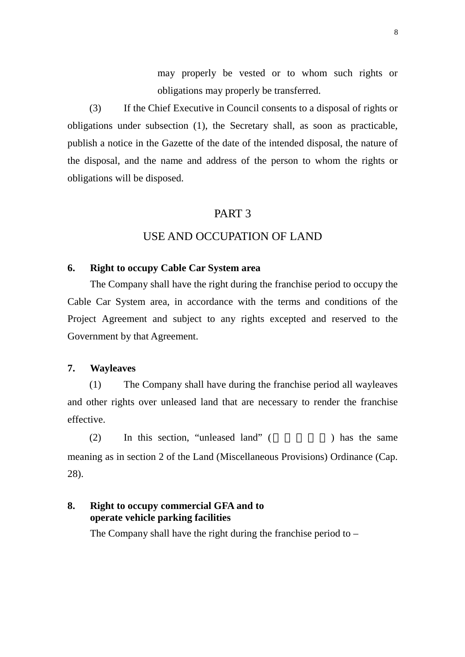may properly be vested or to whom such rights or obligations may properly be transferred.

(3) If the Chief Executive in Council consents to a disposal of rights or obligations under subsection (1), the Secretary shall, as soon as practicable, publish a notice in the Gazette of the date of the intended disposal, the nature of the disposal, and the name and address of the person to whom the rights or obligations will be disposed.

# PART 3

# USE AND OCCUPATION OF LAND

#### **6. Right to occupy Cable Car System area**

The Company shall have the right during the franchise period to occupy the Cable Car System area, in accordance with the terms and conditions of the Project Agreement and subject to any rights excepted and reserved to the Government by that Agreement.

### **7. Wayleaves**

(1) The Company shall have during the franchise period all wayleaves and other rights over unleased land that are necessary to render the franchise effective.

 $(2)$  In this section, "unleased land"  $($   $)$  has the same meaning as in section 2 of the Land (Miscellaneous Provisions) Ordinance (Cap. 28).

# **8. Right to occupy commercial GFA and to operate vehicle parking facilities**

The Company shall have the right during the franchise period to –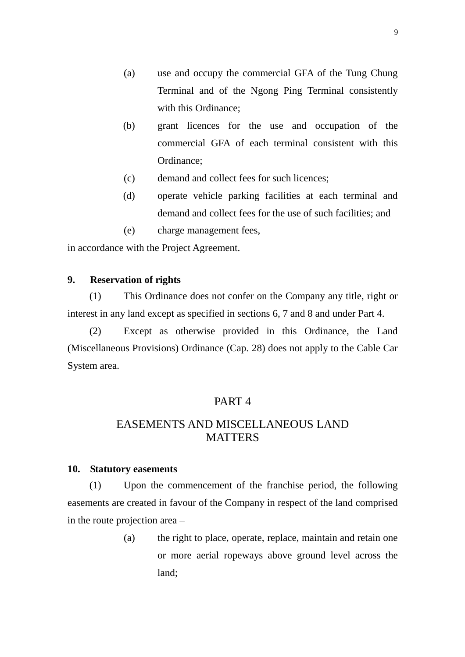- (a) use and occupy the commercial GFA of the Tung Chung Terminal and of the Ngong Ping Terminal consistently with this Ordinance;
- (b) grant licences for the use and occupation of the commercial GFA of each terminal consistent with this Ordinance;
- (c) demand and collect fees for such licences;
- (d) operate vehicle parking facilities at each terminal and demand and collect fees for the use of such facilities; and
- (e) charge management fees,

in accordance with the Project Agreement.

#### **9. Reservation of rights**

(1) This Ordinance does not confer on the Company any title, right or interest in any land except as specified in sections 6, 7 and 8 and under Part 4.

(2) Except as otherwise provided in this Ordinance, the Land (Miscellaneous Provisions) Ordinance (Cap. 28) does not apply to the Cable Car System area.

#### PART 4

# EASEMENTS AND MISCELLANEOUS LAND **MATTERS**

#### **10. Statutory easements**

(1) Upon the commencement of the franchise period, the following easements are created in favour of the Company in respect of the land comprised in the route projection area –

> (a) the right to place, operate, replace, maintain and retain one or more aerial ropeways above ground level across the land;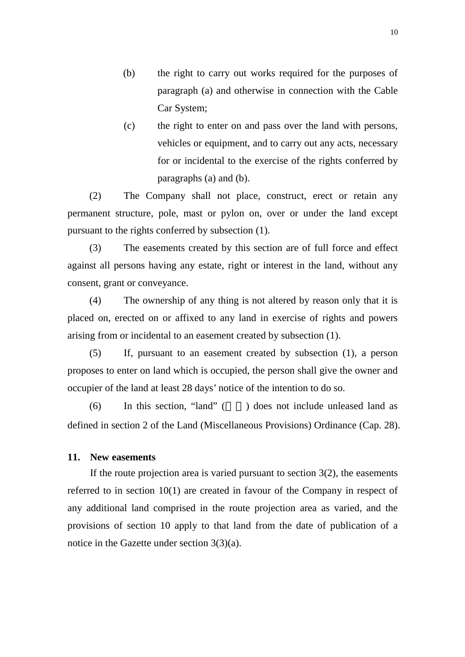- (b) the right to carry out works required for the purposes of paragraph (a) and otherwise in connection with the Cable Car System;
- (c) the right to enter on and pass over the land with persons, vehicles or equipment, and to carry out any acts, necessary for or incidental to the exercise of the rights conferred by paragraphs (a) and (b).

(2) The Company shall not place, construct, erect or retain any permanent structure, pole, mast or pylon on, over or under the land except pursuant to the rights conferred by subsection (1).

(3) The easements created by this section are of full force and effect against all persons having any estate, right or interest in the land, without any consent, grant or conveyance.

(4) The ownership of any thing is not altered by reason only that it is placed on, erected on or affixed to any land in exercise of rights and powers arising from or incidental to an easement created by subsection (1).

(5) If, pursuant to an easement created by subsection (1), a person proposes to enter on land which is occupied, the person shall give the owner and occupier of the land at least 28 days' notice of the intention to do so.

 $(6)$  In this section, "land" () does not include unleased land as defined in section 2 of the Land (Miscellaneous Provisions) Ordinance (Cap. 28).

### **11. New easements**

If the route projection area is varied pursuant to section  $3(2)$ , the easements referred to in section 10(1) are created in favour of the Company in respect of any additional land comprised in the route projection area as varied, and the provisions of section 10 apply to that land from the date of publication of a notice in the Gazette under section 3(3)(a).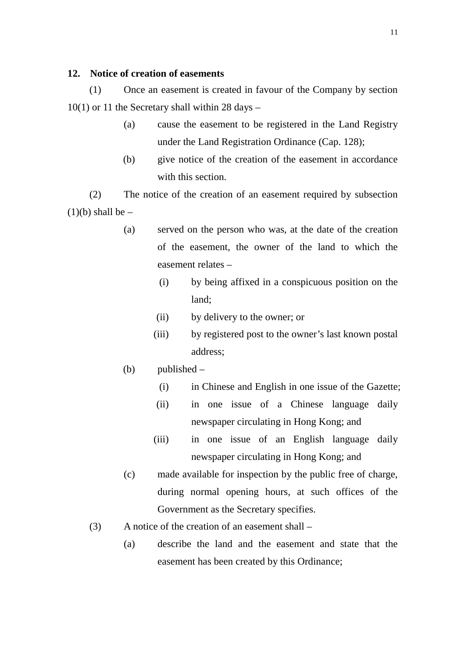### **12. Notice of creation of easements**

(1) Once an easement is created in favour of the Company by section  $10(1)$  or 11 the Secretary shall within 28 days –

- (a) cause the easement to be registered in the Land Registry under the Land Registration Ordinance (Cap. 128);
- (b) give notice of the creation of the easement in accordance with this section.

(2) The notice of the creation of an easement required by subsection  $(1)(b)$  shall be –

- (a) served on the person who was, at the date of the creation of the easement, the owner of the land to which the easement relates –
	- (i) by being affixed in a conspicuous position on the land;
	- (ii) by delivery to the owner; or
	- (iii) by registered post to the owner's last known postal address;
- (b) published
	- (i) in Chinese and English in one issue of the Gazette;
	- (ii) in one issue of a Chinese language daily newspaper circulating in Hong Kong; and
	- (iii) in one issue of an English language daily newspaper circulating in Hong Kong; and
- (c) made available for inspection by the public free of charge, during normal opening hours, at such offices of the Government as the Secretary specifies.
- (3) A notice of the creation of an easement shall
	- (a) describe the land and the easement and state that the easement has been created by this Ordinance;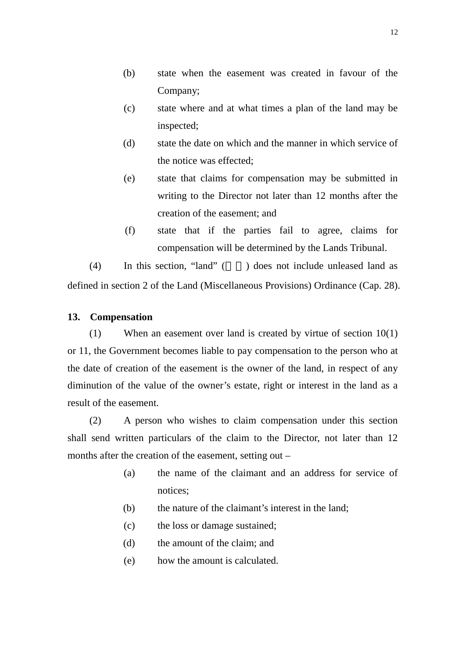- (b) state when the easement was created in favour of the Company;
- (c) state where and at what times a plan of the land may be inspected;
- (d) state the date on which and the manner in which service of the notice was effected;
- (e) state that claims for compensation may be submitted in writing to the Director not later than 12 months after the creation of the easement; and
- (f) state that if the parties fail to agree, claims for compensation will be determined by the Lands Tribunal.

 $(4)$  In this section, "land" () does not include unleased land as defined in section 2 of the Land (Miscellaneous Provisions) Ordinance (Cap. 28).

# **13. Compensation**

(1) When an easement over land is created by virtue of section 10(1) or 11, the Government becomes liable to pay compensation to the person who at the date of creation of the easement is the owner of the land, in respect of any diminution of the value of the owner's estate, right or interest in the land as a result of the easement.

(2) A person who wishes to claim compensation under this section shall send written particulars of the claim to the Director, not later than 12 months after the creation of the easement, setting out –

- (a) the name of the claimant and an address for service of notices;
- (b) the nature of the claimant's interest in the land;
- (c) the loss or damage sustained;
- (d) the amount of the claim; and
- (e) how the amount is calculated.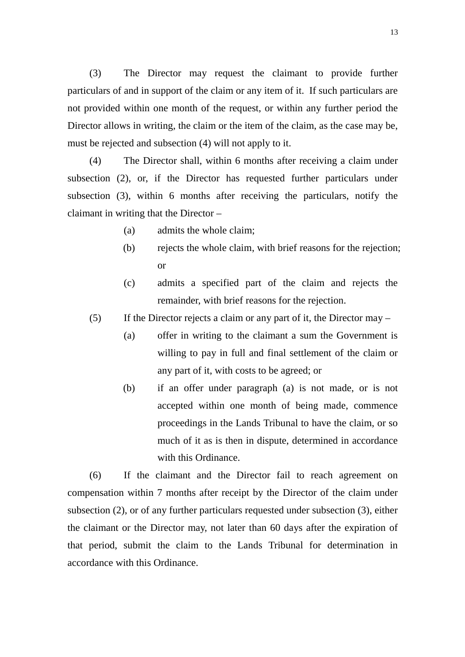(3) The Director may request the claimant to provide further particulars of and in support of the claim or any item of it. If such particulars are not provided within one month of the request, or within any further period the Director allows in writing, the claim or the item of the claim, as the case may be, must be rejected and subsection (4) will not apply to it.

(4) The Director shall, within 6 months after receiving a claim under subsection (2), or, if the Director has requested further particulars under subsection (3), within 6 months after receiving the particulars, notify the claimant in writing that the Director –

- (a) admits the whole claim;
- (b) rejects the whole claim, with brief reasons for the rejection; or
- (c) admits a specified part of the claim and rejects the remainder, with brief reasons for the rejection.
- (5) If the Director rejects a claim or any part of it, the Director may
	- (a) offer in writing to the claimant a sum the Government is willing to pay in full and final settlement of the claim or any part of it, with costs to be agreed; or
	- (b) if an offer under paragraph (a) is not made, or is not accepted within one month of being made, commence proceedings in the Lands Tribunal to have the claim, or so much of it as is then in dispute, determined in accordance with this Ordinance

(6) If the claimant and the Director fail to reach agreement on compensation within 7 months after receipt by the Director of the claim under subsection (2), or of any further particulars requested under subsection (3), either the claimant or the Director may, not later than 60 days after the expiration of that period, submit the claim to the Lands Tribunal for determination in accordance with this Ordinance.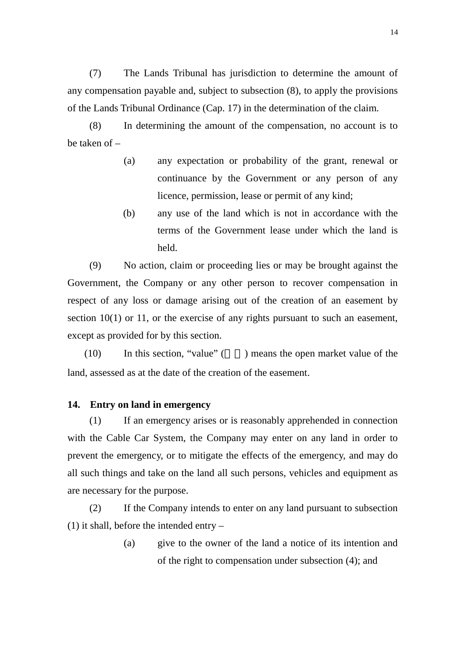(7) The Lands Tribunal has jurisdiction to determine the amount of any compensation payable and, subject to subsection (8), to apply the provisions of the Lands Tribunal Ordinance (Cap. 17) in the determination of the claim.

(8) In determining the amount of the compensation, no account is to be taken of –

- (a) any expectation or probability of the grant, renewal or continuance by the Government or any person of any licence, permission, lease or permit of any kind;
- (b) any use of the land which is not in accordance with the terms of the Government lease under which the land is held.

(9) No action, claim or proceeding lies or may be brought against the Government, the Company or any other person to recover compensation in respect of any loss or damage arising out of the creation of an easement by section 10(1) or 11, or the exercise of any rights pursuant to such an easement, except as provided for by this section.

 $(10)$  In this section, "value" ( $\blacksquare$ ) means the open market value of the land, assessed as at the date of the creation of the easement.

#### **14. Entry on land in emergency**

(1) If an emergency arises or is reasonably apprehended in connection with the Cable Car System, the Company may enter on any land in order to prevent the emergency, or to mitigate the effects of the emergency, and may do all such things and take on the land all such persons, vehicles and equipment as are necessary for the purpose.

(2) If the Company intends to enter on any land pursuant to subsection (1) it shall, before the intended entry –

> (a) give to the owner of the land a notice of its intention and of the right to compensation under subsection (4); and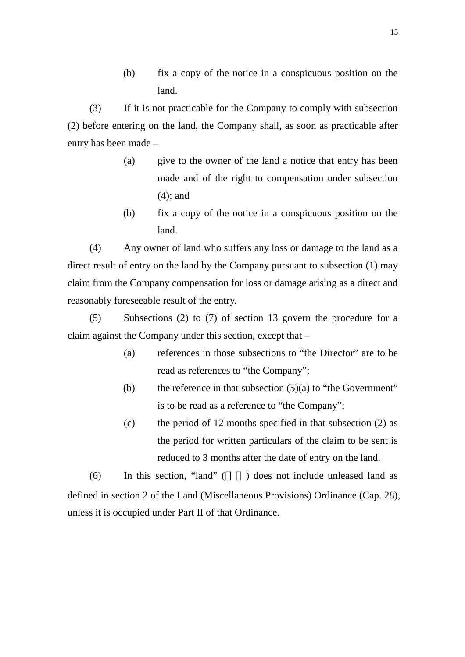(b) fix a copy of the notice in a conspicuous position on the land.

(3) If it is not practicable for the Company to comply with subsection (2) before entering on the land, the Company shall, as soon as practicable after entry has been made –

- (a) give to the owner of the land a notice that entry has been made and of the right to compensation under subsection (4); and
- (b) fix a copy of the notice in a conspicuous position on the land.

(4) Any owner of land who suffers any loss or damage to the land as a direct result of entry on the land by the Company pursuant to subsection (1) may claim from the Company compensation for loss or damage arising as a direct and reasonably foreseeable result of the entry.

(5) Subsections (2) to (7) of section 13 govern the procedure for a claim against the Company under this section, except that –

- (a) references in those subsections to "the Director" are to be read as references to "the Company";
- (b) the reference in that subsection  $(5)(a)$  to "the Government" is to be read as a reference to "the Company";
- (c) the period of 12 months specified in that subsection (2) as the period for written particulars of the claim to be sent is reduced to 3 months after the date of entry on the land.

 $(6)$  In this section, "land" () does not include unleased land as defined in section 2 of the Land (Miscellaneous Provisions) Ordinance (Cap. 28), unless it is occupied under Part II of that Ordinance.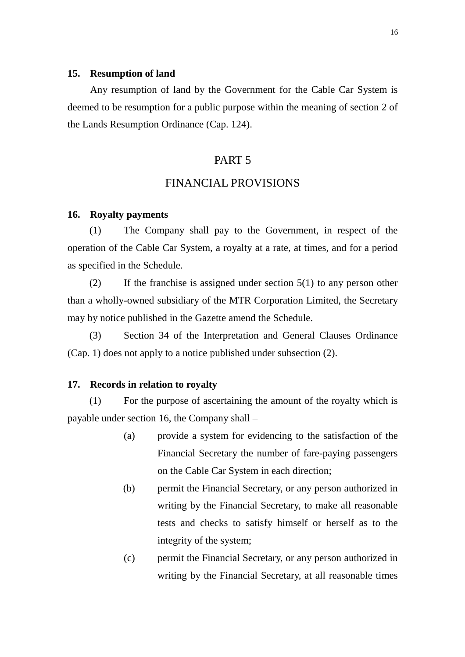#### **15. Resumption of land**

Any resumption of land by the Government for the Cable Car System is deemed to be resumption for a public purpose within the meaning of section 2 of the Lands Resumption Ordinance (Cap. 124).

### PART 5

### FINANCIAL PROVISIONS

#### **16. Royalty payments**

(1) The Company shall pay to the Government, in respect of the operation of the Cable Car System, a royalty at a rate, at times, and for a period as specified in the Schedule.

(2) If the franchise is assigned under section  $5(1)$  to any person other than a wholly-owned subsidiary of the MTR Corporation Limited, the Secretary may by notice published in the Gazette amend the Schedule.

(3) Section 34 of the Interpretation and General Clauses Ordinance (Cap. 1) does not apply to a notice published under subsection (2).

#### **17. Records in relation to royalty**

(1) For the purpose of ascertaining the amount of the royalty which is payable under section 16, the Company shall –

- (a) provide a system for evidencing to the satisfaction of the Financial Secretary the number of fare-paying passengers on the Cable Car System in each direction;
- (b) permit the Financial Secretary, or any person authorized in writing by the Financial Secretary, to make all reasonable tests and checks to satisfy himself or herself as to the integrity of the system;
- (c) permit the Financial Secretary, or any person authorized in writing by the Financial Secretary, at all reasonable times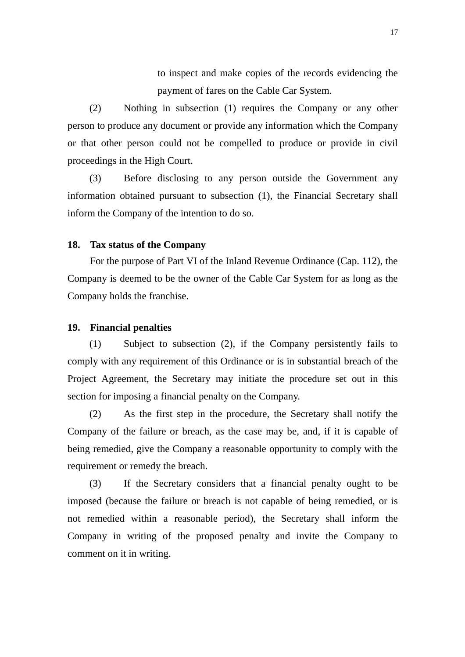to inspect and make copies of the records evidencing the payment of fares on the Cable Car System.

(2) Nothing in subsection (1) requires the Company or any other person to produce any document or provide any information which the Company or that other person could not be compelled to produce or provide in civil proceedings in the High Court.

(3) Before disclosing to any person outside the Government any information obtained pursuant to subsection (1), the Financial Secretary shall inform the Company of the intention to do so.

#### **18. Tax status of the Company**

For the purpose of Part VI of the Inland Revenue Ordinance (Cap. 112), the Company is deemed to be the owner of the Cable Car System for as long as the Company holds the franchise.

#### **19. Financial penalties**

(1) Subject to subsection (2), if the Company persistently fails to comply with any requirement of this Ordinance or is in substantial breach of the Project Agreement, the Secretary may initiate the procedure set out in this section for imposing a financial penalty on the Company.

(2) As the first step in the procedure, the Secretary shall notify the Company of the failure or breach, as the case may be, and, if it is capable of being remedied, give the Company a reasonable opportunity to comply with the requirement or remedy the breach.

(3) If the Secretary considers that a financial penalty ought to be imposed (because the failure or breach is not capable of being remedied, or is not remedied within a reasonable period), the Secretary shall inform the Company in writing of the proposed penalty and invite the Company to comment on it in writing.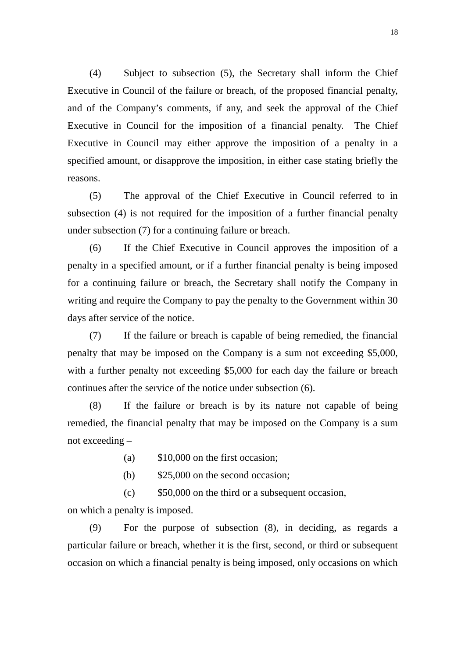(4) Subject to subsection (5), the Secretary shall inform the Chief Executive in Council of the failure or breach, of the proposed financial penalty, and of the Company's comments, if any, and seek the approval of the Chief Executive in Council for the imposition of a financial penalty. The Chief Executive in Council may either approve the imposition of a penalty in a specified amount, or disapprove the imposition, in either case stating briefly the reasons.

(5) The approval of the Chief Executive in Council referred to in subsection (4) is not required for the imposition of a further financial penalty under subsection (7) for a continuing failure or breach.

(6) If the Chief Executive in Council approves the imposition of a penalty in a specified amount, or if a further financial penalty is being imposed for a continuing failure or breach, the Secretary shall notify the Company in writing and require the Company to pay the penalty to the Government within 30 days after service of the notice.

(7) If the failure or breach is capable of being remedied, the financial penalty that may be imposed on the Company is a sum not exceeding \$5,000, with a further penalty not exceeding \$5,000 for each day the failure or breach continues after the service of the notice under subsection (6).

(8) If the failure or breach is by its nature not capable of being remedied, the financial penalty that may be imposed on the Company is a sum not exceeding –

- (a) \$10,000 on the first occasion;
- (b) \$25,000 on the second occasion;

(c) \$50,000 on the third or a subsequent occasion,

on which a penalty is imposed.

(9) For the purpose of subsection (8), in deciding, as regards a particular failure or breach, whether it is the first, second, or third or subsequent occasion on which a financial penalty is being imposed, only occasions on which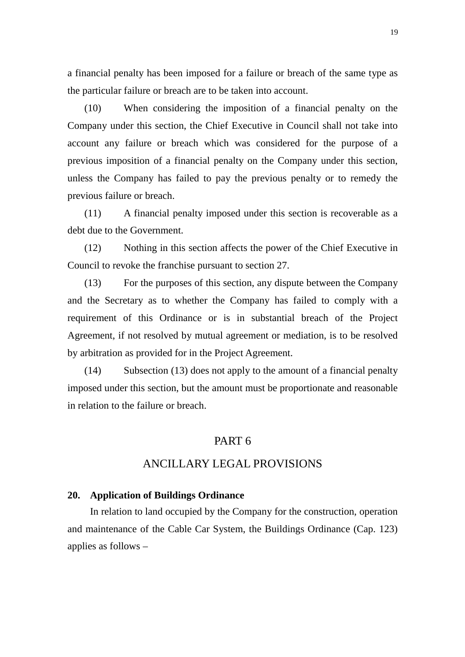a financial penalty has been imposed for a failure or breach of the same type as the particular failure or breach are to be taken into account.

(10) When considering the imposition of a financial penalty on the Company under this section, the Chief Executive in Council shall not take into account any failure or breach which was considered for the purpose of a previous imposition of a financial penalty on the Company under this section, unless the Company has failed to pay the previous penalty or to remedy the previous failure or breach.

(11) A financial penalty imposed under this section is recoverable as a debt due to the Government.

(12) Nothing in this section affects the power of the Chief Executive in Council to revoke the franchise pursuant to section 27.

(13) For the purposes of this section, any dispute between the Company and the Secretary as to whether the Company has failed to comply with a requirement of this Ordinance or is in substantial breach of the Project Agreement, if not resolved by mutual agreement or mediation, is to be resolved by arbitration as provided for in the Project Agreement.

(14) Subsection (13) does not apply to the amount of a financial penalty imposed under this section, but the amount must be proportionate and reasonable in relation to the failure or breach.

# PART 6

# ANCILLARY LEGAL PROVISIONS

#### **20. Application of Buildings Ordinance**

In relation to land occupied by the Company for the construction, operation and maintenance of the Cable Car System, the Buildings Ordinance (Cap. 123) applies as follows –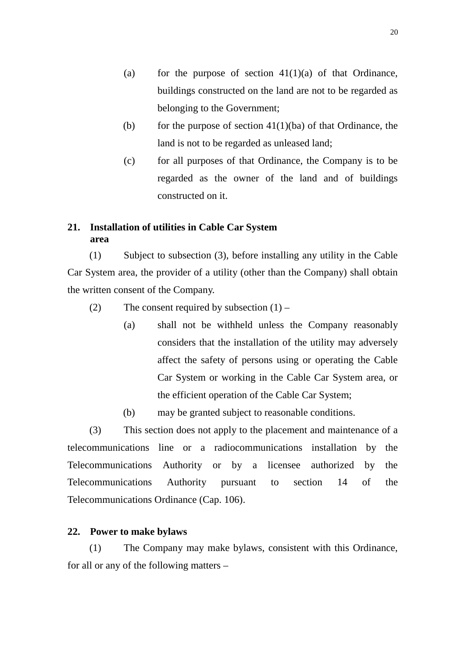- (a) for the purpose of section  $41(1)(a)$  of that Ordinance, buildings constructed on the land are not to be regarded as belonging to the Government;
- (b) for the purpose of section  $41(1)(ba)$  of that Ordinance, the land is not to be regarded as unleased land;
- (c) for all purposes of that Ordinance, the Company is to be regarded as the owner of the land and of buildings constructed on it.

# **21. Installation of utilities in Cable Car System area**

(1) Subject to subsection (3), before installing any utility in the Cable Car System area, the provider of a utility (other than the Company) shall obtain the written consent of the Company.

- (2) The consent required by subsection  $(1)$ 
	- (a) shall not be withheld unless the Company reasonably considers that the installation of the utility may adversely affect the safety of persons using or operating the Cable Car System or working in the Cable Car System area, or the efficient operation of the Cable Car System;
	- (b) may be granted subject to reasonable conditions.

(3) This section does not apply to the placement and maintenance of a telecommunications line or a radiocommunications installation by the Telecommunications Authority or by a licensee authorized by the Telecommunications Authority pursuant to section 14 of the Telecommunications Ordinance (Cap. 106).

### **22. Power to make bylaws**

(1) The Company may make bylaws, consistent with this Ordinance, for all or any of the following matters –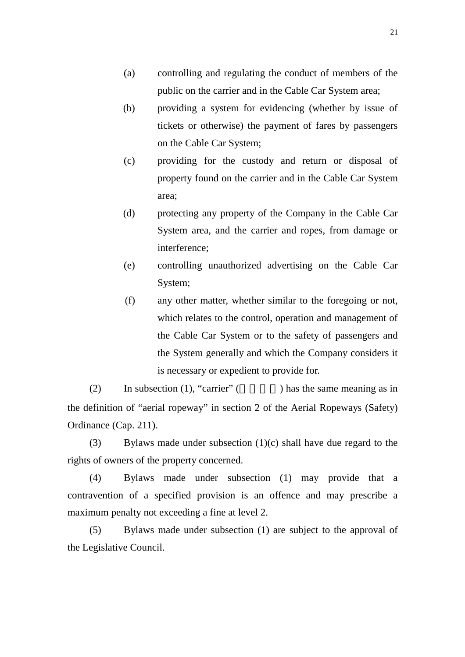- (a) controlling and regulating the conduct of members of the public on the carrier and in the Cable Car System area;
- (b) providing a system for evidencing (whether by issue of tickets or otherwise) the payment of fares by passengers on the Cable Car System;
- (c) providing for the custody and return or disposal of property found on the carrier and in the Cable Car System area;
- (d) protecting any property of the Company in the Cable Car System area, and the carrier and ropes, from damage or interference;
- (e) controlling unauthorized advertising on the Cable Car System;
- (f) any other matter, whether similar to the foregoing or not, which relates to the control, operation and management of the Cable Car System or to the safety of passengers and the System generally and which the Company considers it is necessary or expedient to provide for.

(2) In subsection (1), "carrier" ( $\qquad \qquad$ ) has the same meaning as in the definition of "aerial ropeway" in section 2 of the Aerial Ropeways (Safety) Ordinance (Cap. 211).

(3) Bylaws made under subsection (1)(c) shall have due regard to the rights of owners of the property concerned.

(4) Bylaws made under subsection (1) may provide that a contravention of a specified provision is an offence and may prescribe a maximum penalty not exceeding a fine at level 2.

(5) Bylaws made under subsection (1) are subject to the approval of the Legislative Council.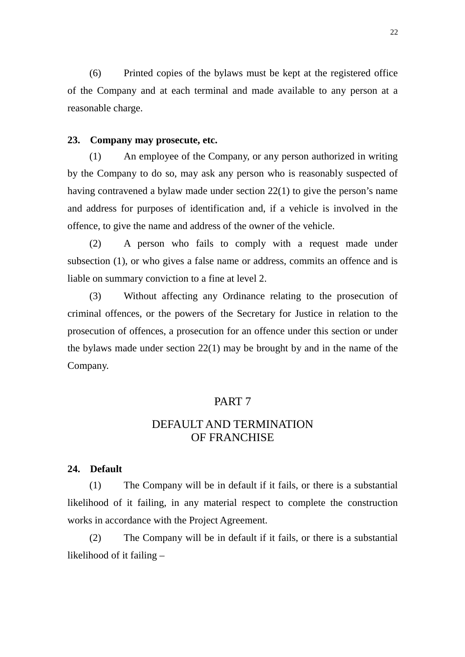(6) Printed copies of the bylaws must be kept at the registered office of the Company and at each terminal and made available to any person at a reasonable charge.

#### **23. Company may prosecute, etc.**

(1) An employee of the Company, or any person authorized in writing by the Company to do so, may ask any person who is reasonably suspected of having contravened a bylaw made under section 22(1) to give the person's name and address for purposes of identification and, if a vehicle is involved in the offence, to give the name and address of the owner of the vehicle.

(2) A person who fails to comply with a request made under subsection (1), or who gives a false name or address, commits an offence and is liable on summary conviction to a fine at level 2.

(3) Without affecting any Ordinance relating to the prosecution of criminal offences, or the powers of the Secretary for Justice in relation to the prosecution of offences, a prosecution for an offence under this section or under the bylaws made under section 22(1) may be brought by and in the name of the Company.

#### PART 7

# DEFAULT AND TERMINATION OF FRANCHISE

#### **24. Default**

(1) The Company will be in default if it fails, or there is a substantial likelihood of it failing, in any material respect to complete the construction works in accordance with the Project Agreement.

(2) The Company will be in default if it fails, or there is a substantial likelihood of it failing –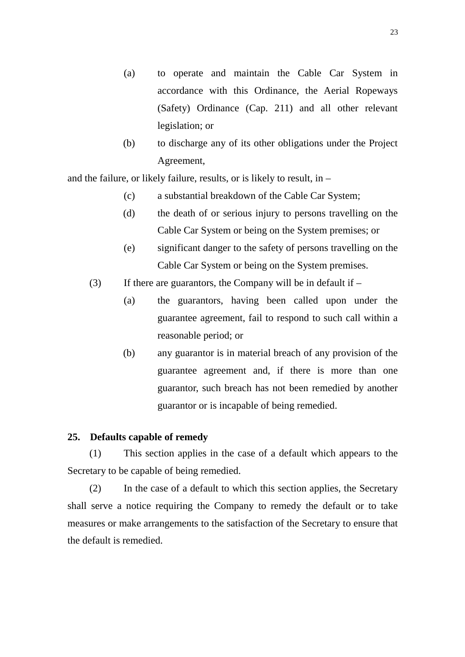- (a) to operate and maintain the Cable Car System in accordance with this Ordinance, the Aerial Ropeways (Safety) Ordinance (Cap. 211) and all other relevant legislation; or
- (b) to discharge any of its other obligations under the Project Agreement,

and the failure, or likely failure, results, or is likely to result, in –

- (c) a substantial breakdown of the Cable Car System;
- (d) the death of or serious injury to persons travelling on the Cable Car System or being on the System premises; or
- (e) significant danger to the safety of persons travelling on the Cable Car System or being on the System premises.
- (3) If there are guarantors, the Company will be in default if
	- (a) the guarantors, having been called upon under the guarantee agreement, fail to respond to such call within a reasonable period; or
	- (b) any guarantor is in material breach of any provision of the guarantee agreement and, if there is more than one guarantor, such breach has not been remedied by another guarantor or is incapable of being remedied.

#### **25. Defaults capable of remedy**

(1) This section applies in the case of a default which appears to the Secretary to be capable of being remedied.

(2) In the case of a default to which this section applies, the Secretary shall serve a notice requiring the Company to remedy the default or to take measures or make arrangements to the satisfaction of the Secretary to ensure that the default is remedied.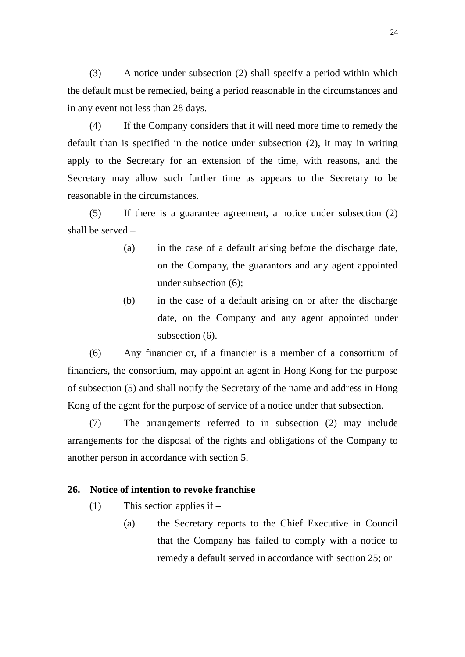(3) A notice under subsection (2) shall specify a period within which the default must be remedied, being a period reasonable in the circumstances and in any event not less than 28 days.

(4) If the Company considers that it will need more time to remedy the default than is specified in the notice under subsection (2), it may in writing apply to the Secretary for an extension of the time, with reasons, and the Secretary may allow such further time as appears to the Secretary to be reasonable in the circumstances.

(5) If there is a guarantee agreement, a notice under subsection (2) shall be served –

- (a) in the case of a default arising before the discharge date, on the Company, the guarantors and any agent appointed under subsection (6);
- (b) in the case of a default arising on or after the discharge date, on the Company and any agent appointed under subsection (6).

(6) Any financier or, if a financier is a member of a consortium of financiers, the consortium, may appoint an agent in Hong Kong for the purpose of subsection (5) and shall notify the Secretary of the name and address in Hong Kong of the agent for the purpose of service of a notice under that subsection.

(7) The arrangements referred to in subsection (2) may include arrangements for the disposal of the rights and obligations of the Company to another person in accordance with section 5.

#### **26. Notice of intention to revoke franchise**

- (1) This section applies if
	- (a) the Secretary reports to the Chief Executive in Council that the Company has failed to comply with a notice to remedy a default served in accordance with section 25; or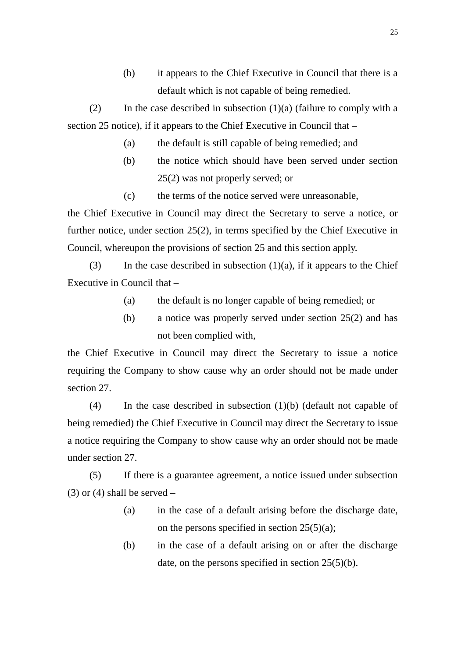(b) it appears to the Chief Executive in Council that there is a default which is not capable of being remedied.

(2) In the case described in subsection  $(1)(a)$  (failure to comply with a section 25 notice), if it appears to the Chief Executive in Council that –

- (a) the default is still capable of being remedied; and
- (b) the notice which should have been served under section 25(2) was not properly served; or
- (c) the terms of the notice served were unreasonable,

the Chief Executive in Council may direct the Secretary to serve a notice, or further notice, under section 25(2), in terms specified by the Chief Executive in Council, whereupon the provisions of section 25 and this section apply.

(3) In the case described in subsection  $(1)(a)$ , if it appears to the Chief Executive in Council that –

- (a) the default is no longer capable of being remedied; or
- (b) a notice was properly served under section 25(2) and has not been complied with,

the Chief Executive in Council may direct the Secretary to issue a notice requiring the Company to show cause why an order should not be made under section 27.

(4) In the case described in subsection (1)(b) (default not capable of being remedied) the Chief Executive in Council may direct the Secretary to issue a notice requiring the Company to show cause why an order should not be made under section 27.

(5) If there is a guarantee agreement, a notice issued under subsection  $(3)$  or  $(4)$  shall be served –

- (a) in the case of a default arising before the discharge date, on the persons specified in section  $25(5)(a)$ ;
- (b) in the case of a default arising on or after the discharge date, on the persons specified in section 25(5)(b).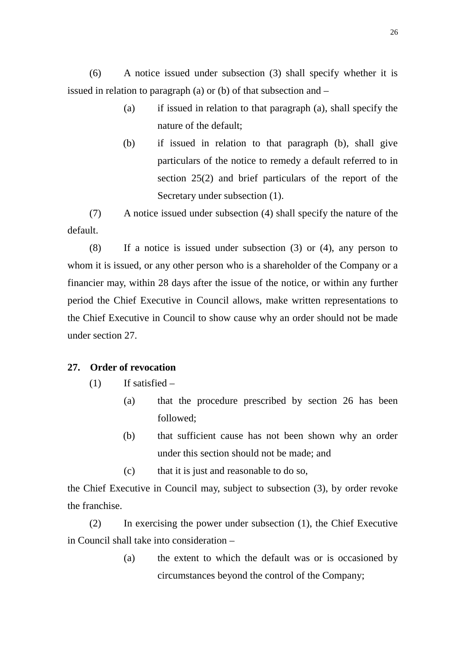(6) A notice issued under subsection (3) shall specify whether it is issued in relation to paragraph (a) or (b) of that subsection and –

- (a) if issued in relation to that paragraph (a), shall specify the nature of the default;
- (b) if issued in relation to that paragraph (b), shall give particulars of the notice to remedy a default referred to in section 25(2) and brief particulars of the report of the Secretary under subsection (1).

(7) A notice issued under subsection (4) shall specify the nature of the default.

(8) If a notice is issued under subsection (3) or (4), any person to whom it is issued, or any other person who is a shareholder of the Company or a financier may, within 28 days after the issue of the notice, or within any further period the Chief Executive in Council allows, make written representations to the Chief Executive in Council to show cause why an order should not be made under section 27.

### **27. Order of revocation**

- $(1)$  If satisfied
	- (a) that the procedure prescribed by section 26 has been followed;
	- (b) that sufficient cause has not been shown why an order under this section should not be made; and
	- (c) that it is just and reasonable to do so,

the Chief Executive in Council may, subject to subsection (3), by order revoke the franchise.

(2) In exercising the power under subsection (1), the Chief Executive in Council shall take into consideration –

> (a) the extent to which the default was or is occasioned by circumstances beyond the control of the Company;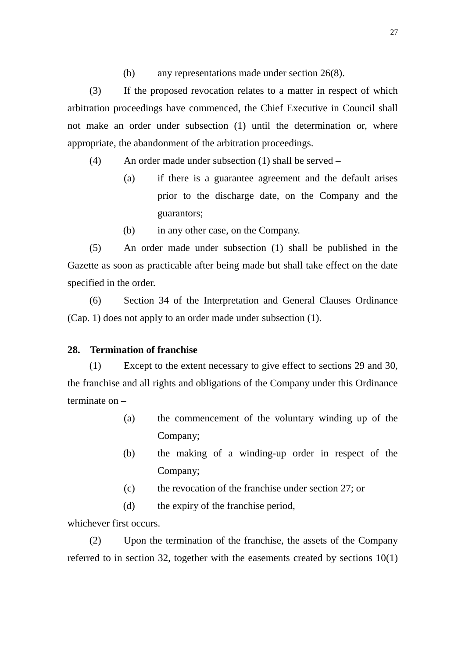(b) any representations made under section 26(8).

(3) If the proposed revocation relates to a matter in respect of which arbitration proceedings have commenced, the Chief Executive in Council shall not make an order under subsection (1) until the determination or, where appropriate, the abandonment of the arbitration proceedings.

(4) An order made under subsection (1) shall be served –

- (a) if there is a guarantee agreement and the default arises prior to the discharge date, on the Company and the guarantors;
- (b) in any other case, on the Company.

(5) An order made under subsection (1) shall be published in the Gazette as soon as practicable after being made but shall take effect on the date specified in the order.

(6) Section 34 of the Interpretation and General Clauses Ordinance (Cap. 1) does not apply to an order made under subsection (1).

### **28. Termination of franchise**

(1) Except to the extent necessary to give effect to sections 29 and 30, the franchise and all rights and obligations of the Company under this Ordinance terminate on –

- (a) the commencement of the voluntary winding up of the Company;
- (b) the making of a winding-up order in respect of the Company;
- (c) the revocation of the franchise under section 27; or
- (d) the expiry of the franchise period,

whichever first occurs.

(2) Upon the termination of the franchise, the assets of the Company referred to in section 32, together with the easements created by sections 10(1)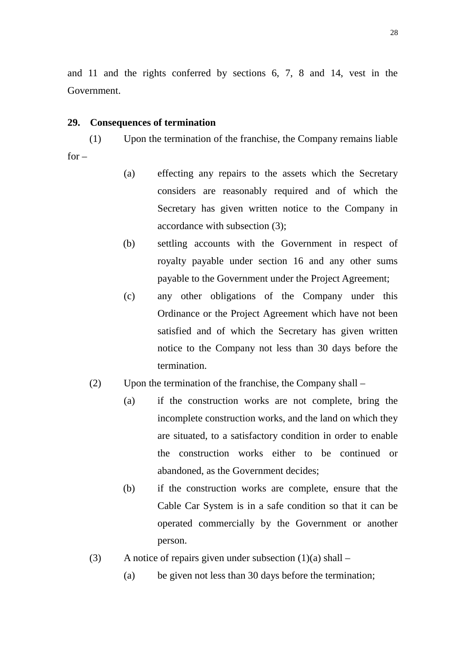and 11 and the rights conferred by sections 6, 7, 8 and 14, vest in the Government.

#### **29. Consequences of termination**

(1) Upon the termination of the franchise, the Company remains liable  $for -$ 

- (a) effecting any repairs to the assets which the Secretary considers are reasonably required and of which the Secretary has given written notice to the Company in accordance with subsection (3);
- (b) settling accounts with the Government in respect of royalty payable under section 16 and any other sums payable to the Government under the Project Agreement;
- (c) any other obligations of the Company under this Ordinance or the Project Agreement which have not been satisfied and of which the Secretary has given written notice to the Company not less than 30 days before the termination.
- (2) Upon the termination of the franchise, the Company shall
	- (a) if the construction works are not complete, bring the incomplete construction works, and the land on which they are situated, to a satisfactory condition in order to enable the construction works either to be continued or abandoned, as the Government decides;
	- (b) if the construction works are complete, ensure that the Cable Car System is in a safe condition so that it can be operated commercially by the Government or another person.
- (3) A notice of repairs given under subsection  $(1)(a)$  shall
	- (a) be given not less than 30 days before the termination;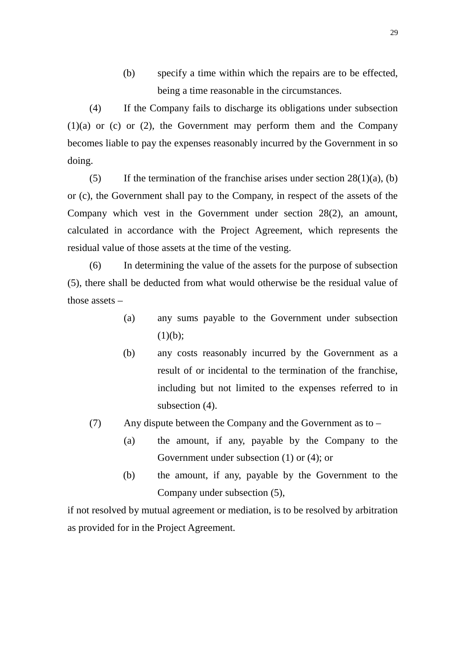(b) specify a time within which the repairs are to be effected, being a time reasonable in the circumstances.

(4) If the Company fails to discharge its obligations under subsection  $(1)(a)$  or  $(c)$  or  $(2)$ , the Government may perform them and the Company becomes liable to pay the expenses reasonably incurred by the Government in so doing.

(5) If the termination of the franchise arises under section  $28(1)(a)$ , (b) or (c), the Government shall pay to the Company, in respect of the assets of the Company which vest in the Government under section 28(2), an amount, calculated in accordance with the Project Agreement, which represents the residual value of those assets at the time of the vesting.

(6) In determining the value of the assets for the purpose of subsection (5), there shall be deducted from what would otherwise be the residual value of those assets –

- (a) any sums payable to the Government under subsection  $(1)(b);$
- (b) any costs reasonably incurred by the Government as a result of or incidental to the termination of the franchise, including but not limited to the expenses referred to in subsection (4).
- (7) Any dispute between the Company and the Government as to
	- (a) the amount, if any, payable by the Company to the Government under subsection (1) or (4); or
	- (b) the amount, if any, payable by the Government to the Company under subsection (5),

if not resolved by mutual agreement or mediation, is to be resolved by arbitration as provided for in the Project Agreement.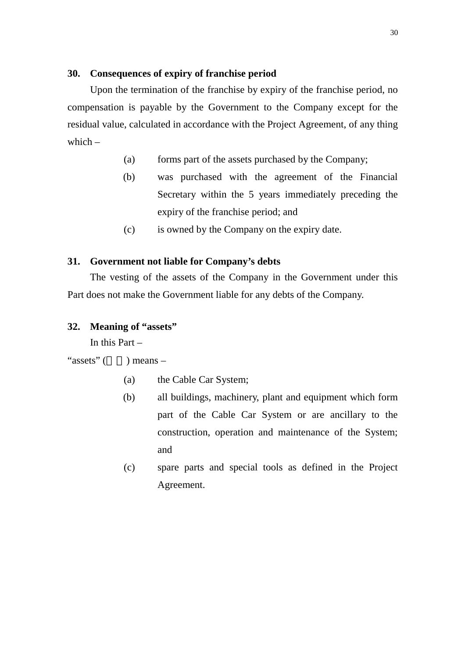### **30. Consequences of expiry of franchise period**

Upon the termination of the franchise by expiry of the franchise period, no compensation is payable by the Government to the Company except for the residual value, calculated in accordance with the Project Agreement, of any thing which  $-$ 

- (a) forms part of the assets purchased by the Company;
- (b) was purchased with the agreement of the Financial Secretary within the 5 years immediately preceding the expiry of the franchise period; and
- (c) is owned by the Company on the expiry date.

### **31. Government not liable for Company's debts**

The vesting of the assets of the Company in the Government under this Part does not make the Government liable for any debts of the Company.

#### **32. Meaning of "assets"**

In this Part –

"assets" ( $\qquad$ ) means –

- (a) the Cable Car System;
- (b) all buildings, machinery, plant and equipment which form part of the Cable Car System or are ancillary to the construction, operation and maintenance of the System; and
- (c) spare parts and special tools as defined in the Project Agreement.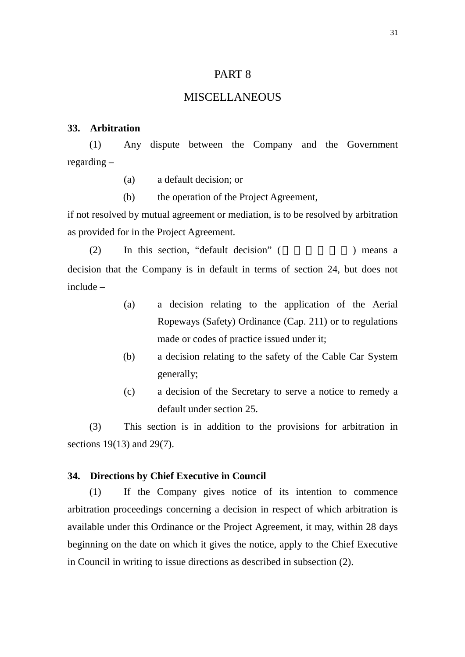### PART 8

### **MISCELLANEOUS**

#### **33. Arbitration**

(1) Any dispute between the Company and the Government regarding –

(a) a default decision; or

(b) the operation of the Project Agreement,

if not resolved by mutual agreement or mediation, is to be resolved by arbitration as provided for in the Project Agreement.

 $(2)$  In this section, "default decision" ( $\qquad$ ) means a decision that the Company is in default in terms of section 24, but does not include –

- (a) a decision relating to the application of the Aerial Ropeways (Safety) Ordinance (Cap. 211) or to regulations made or codes of practice issued under it;
- (b) a decision relating to the safety of the Cable Car System generally;
- (c) a decision of the Secretary to serve a notice to remedy a default under section 25.

(3) This section is in addition to the provisions for arbitration in sections 19(13) and 29(7).

#### **34. Directions by Chief Executive in Council**

(1) If the Company gives notice of its intention to commence arbitration proceedings concerning a decision in respect of which arbitration is available under this Ordinance or the Project Agreement, it may, within 28 days beginning on the date on which it gives the notice, apply to the Chief Executive in Council in writing to issue directions as described in subsection (2).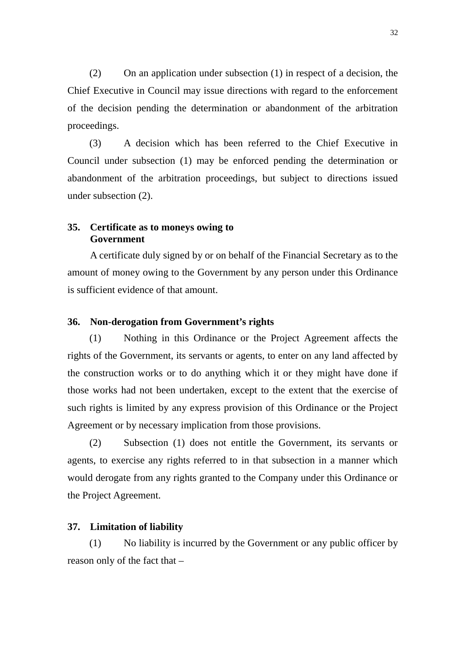(2) On an application under subsection (1) in respect of a decision, the Chief Executive in Council may issue directions with regard to the enforcement of the decision pending the determination or abandonment of the arbitration proceedings.

(3) A decision which has been referred to the Chief Executive in Council under subsection (1) may be enforced pending the determination or abandonment of the arbitration proceedings, but subject to directions issued under subsection (2).

#### **35. Certificate as to moneys owing to Government**

A certificate duly signed by or on behalf of the Financial Secretary as to the amount of money owing to the Government by any person under this Ordinance is sufficient evidence of that amount.

#### **36. Non-derogation from Government's rights**

(1) Nothing in this Ordinance or the Project Agreement affects the rights of the Government, its servants or agents, to enter on any land affected by the construction works or to do anything which it or they might have done if those works had not been undertaken, except to the extent that the exercise of such rights is limited by any express provision of this Ordinance or the Project Agreement or by necessary implication from those provisions.

(2) Subsection (1) does not entitle the Government, its servants or agents, to exercise any rights referred to in that subsection in a manner which would derogate from any rights granted to the Company under this Ordinance or the Project Agreement.

#### **37. Limitation of liability**

(1) No liability is incurred by the Government or any public officer by reason only of the fact that –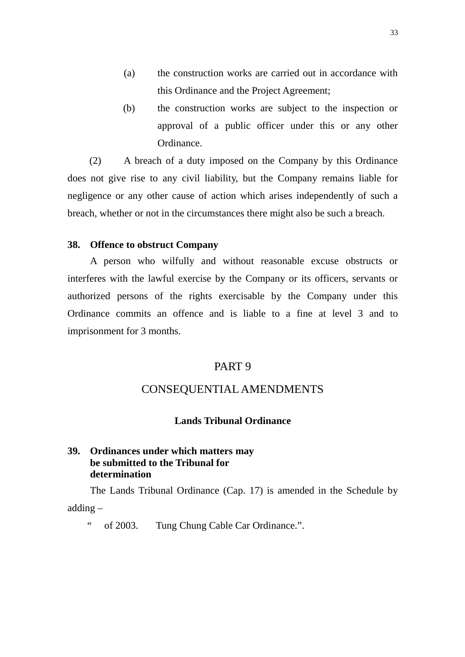- (a) the construction works are carried out in accordance with this Ordinance and the Project Agreement;
- (b) the construction works are subject to the inspection or approval of a public officer under this or any other Ordinance.

(2) A breach of a duty imposed on the Company by this Ordinance does not give rise to any civil liability, but the Company remains liable for negligence or any other cause of action which arises independently of such a breach, whether or not in the circumstances there might also be such a breach.

#### **38. Offence to obstruct Company**

A person who wilfully and without reasonable excuse obstructs or interferes with the lawful exercise by the Company or its officers, servants or authorized persons of the rights exercisable by the Company under this Ordinance commits an offence and is liable to a fine at level 3 and to imprisonment for 3 months.

#### PART 9

# CONSEQUENTIAL AMENDMENTS

#### **Lands Tribunal Ordinance**

### **39. Ordinances under which matters may be submitted to the Tribunal for determination**

The Lands Tribunal Ordinance (Cap. 17) is amended in the Schedule by adding –

" of 2003. Tung Chung Cable Car Ordinance.".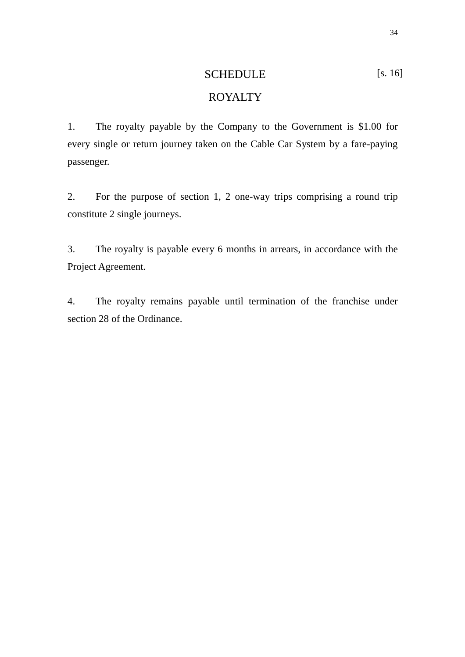# SCHEDULE [s. 16] ROYALTY

1. The royalty payable by the Company to the Government is \$1.00 for every single or return journey taken on the Cable Car System by a fare-paying passenger.

2. For the purpose of section 1, 2 one-way trips comprising a round trip constitute 2 single journeys.

3. The royalty is payable every 6 months in arrears, in accordance with the Project Agreement.

4. The royalty remains payable until termination of the franchise under section 28 of the Ordinance.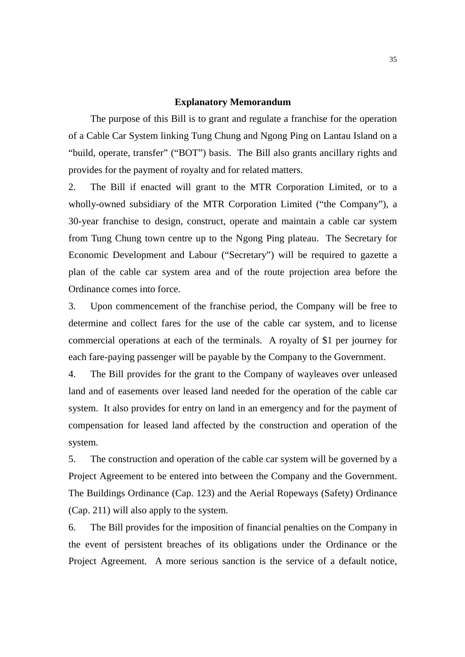#### **Explanatory Memorandum**

The purpose of this Bill is to grant and regulate a franchise for the operation of a Cable Car System linking Tung Chung and Ngong Ping on Lantau Island on a "build, operate, transfer" ("BOT") basis. The Bill also grants ancillary rights and provides for the payment of royalty and for related matters.

2. The Bill if enacted will grant to the MTR Corporation Limited, or to a wholly-owned subsidiary of the MTR Corporation Limited ("the Company"), a 30-year franchise to design, construct, operate and maintain a cable car system from Tung Chung town centre up to the Ngong Ping plateau. The Secretary for Economic Development and Labour ("Secretary") will be required to gazette a plan of the cable car system area and of the route projection area before the Ordinance comes into force.

3. Upon commencement of the franchise period, the Company will be free to determine and collect fares for the use of the cable car system, and to license commercial operations at each of the terminals. A royalty of \$1 per journey for each fare-paying passenger will be payable by the Company to the Government.

4. The Bill provides for the grant to the Company of wayleaves over unleased land and of easements over leased land needed for the operation of the cable car system. It also provides for entry on land in an emergency and for the payment of compensation for leased land affected by the construction and operation of the system.

5. The construction and operation of the cable car system will be governed by a Project Agreement to be entered into between the Company and the Government. The Buildings Ordinance (Cap. 123) and the Aerial Ropeways (Safety) Ordinance (Cap. 211) will also apply to the system.

6. The Bill provides for the imposition of financial penalties on the Company in the event of persistent breaches of its obligations under the Ordinance or the Project Agreement. A more serious sanction is the service of a default notice,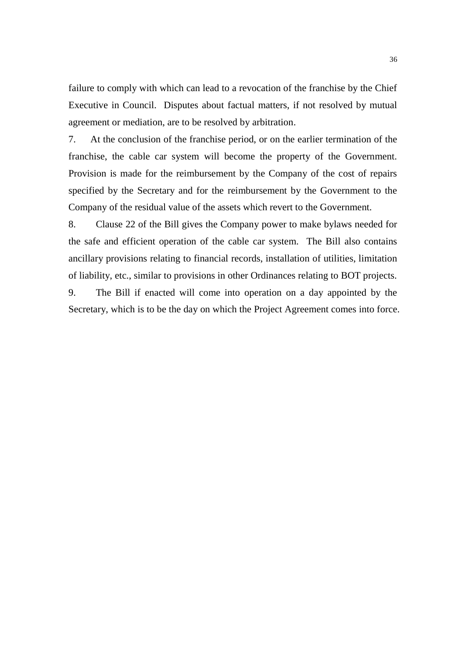failure to comply with which can lead to a revocation of the franchise by the Chief Executive in Council. Disputes about factual matters, if not resolved by mutual agreement or mediation, are to be resolved by arbitration.

7. At the conclusion of the franchise period, or on the earlier termination of the franchise, the cable car system will become the property of the Government. Provision is made for the reimbursement by the Company of the cost of repairs specified by the Secretary and for the reimbursement by the Government to the Company of the residual value of the assets which revert to the Government.

8. Clause 22 of the Bill gives the Company power to make bylaws needed for the safe and efficient operation of the cable car system. The Bill also contains ancillary provisions relating to financial records, installation of utilities, limitation of liability, etc., similar to provisions in other Ordinances relating to BOT projects.

9. The Bill if enacted will come into operation on a day appointed by the Secretary, which is to be the day on which the Project Agreement comes into force.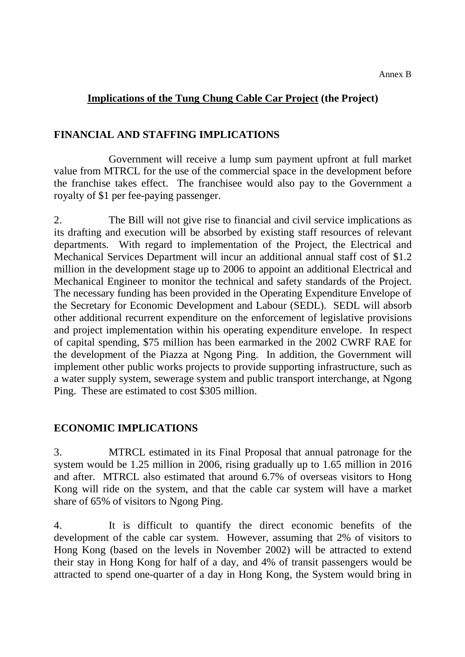# **Implications of the Tung Chung Cable Car Project (the Project)**

# **FINANCIAL AND STAFFING IMPLICATIONS**

Government will receive a lump sum payment upfront at full market value from MTRCL for the use of the commercial space in the development before the franchise takes effect. The franchisee would also pay to the Government a royalty of \$1 per fee-paying passenger.

2. The Bill will not give rise to financial and civil service implications as its drafting and execution will be absorbed by existing staff resources of relevant departments. With regard to implementation of the Project, the Electrical and Mechanical Services Department will incur an additional annual staff cost of \$1.2 million in the development stage up to 2006 to appoint an additional Electrical and Mechanical Engineer to monitor the technical and safety standards of the Project. The necessary funding has been provided in the Operating Expenditure Envelope of the Secretary for Economic Development and Labour (SEDL). SEDL will absorb other additional recurrent expenditure on the enforcement of legislative provisions and project implementation within his operating expenditure envelope. In respect of capital spending, \$75 million has been earmarked in the 2002 CWRF RAE for the development of the Piazza at Ngong Ping. In addition, the Government will implement other public works projects to provide supporting infrastructure, such as a water supply system, sewerage system and public transport interchange, at Ngong Ping. These are estimated to cost \$305 million.

# **ECONOMIC IMPLICATIONS**

3. MTRCL estimated in its Final Proposal that annual patronage for the system would be 1.25 million in 2006, rising gradually up to 1.65 million in 2016 and after. MTRCL also estimated that around 6.7% of overseas visitors to Hong Kong will ride on the system, and that the cable car system will have a market share of 65% of visitors to Ngong Ping.

4. It is difficult to quantify the direct economic benefits of the development of the cable car system. However, assuming that 2% of visitors to Hong Kong (based on the levels in November 2002) will be attracted to extend their stay in Hong Kong for half of a day, and 4% of transit passengers would be attracted to spend one-quarter of a day in Hong Kong, the System would bring in